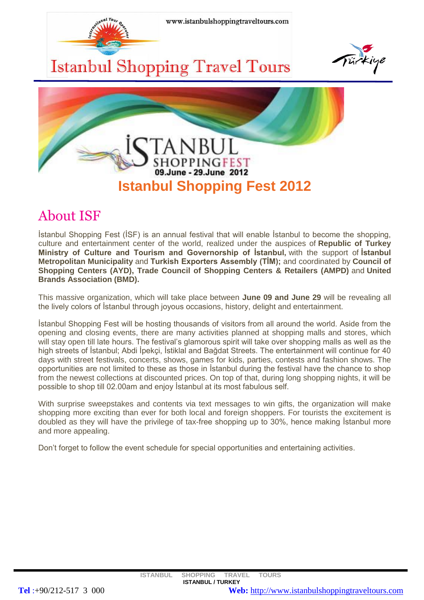

# About ISF

İstanbul Shopping Fest (İSF) is an annual festival that will enable İstanbul to become the shopping, culture and entertainment center of the world, realized under the auspices of **Republic of Turkey Ministry of Culture and Tourism and Governorship of İstanbul,** with the support of **İstanbul Metropolitan Municipality** and **Turkish Exporters Assembly (TİM);** and coordinated by **Council of Shopping Centers (AYD), Trade Council of Shopping Centers & Retailers (AMPD)** and **United Brands Association (BMD).**

This massive organization, which will take place between **June 09 and June 29** will be revealing all the lively colors of İstanbul through joyous occasions, history, delight and entertainment.

İstanbul Shopping Fest will be hosting thousands of visitors from all around the world. Aside from the opening and closing events, there are many activities planned at shopping malls and stores, which will stay open till late hours. The festival's glamorous spirit will take over shopping malls as well as the high streets of İstanbul; Abdi İpekçi, İstiklal and Bağdat Streets. The entertainment will continue for 40 days with street festivals, concerts, shows, games for kids, parties, contests and fashion shows. The opportunities are not limited to these as those in İstanbul during the festival have the chance to shop from the newest collections at discounted prices. On top of that, during long shopping nights, it will be possible to shop till 02.00am and enjoy İstanbul at its most fabulous self.

With surprise sweepstakes and contents via text messages to win gifts, the organization will make shopping more exciting than ever for both local and foreign shoppers. For tourists the excitement is doubled as they will have the privilege of tax-free shopping up to 30%, hence making İstanbul more and more appealing.

Don't forget to follow the event schedule for special opportunities and entertaining activities.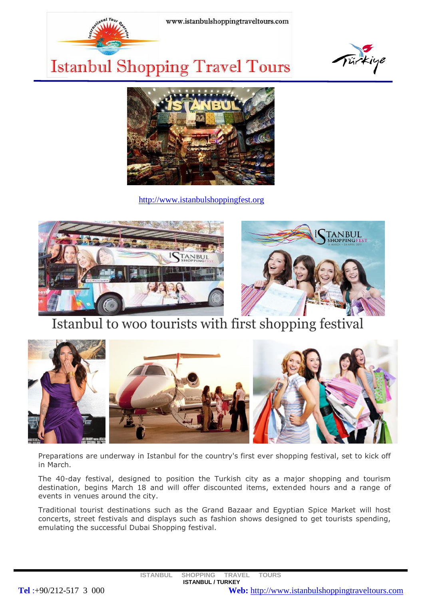





[http://www.istanbulshoppingfest.org](http://www.istanbulshoppingfest.org/)





# Istanbul to woo tourists with first shopping festival



Preparations are underway in Istanbul for the country's first ever shopping festival, set to kick off in March.

The 40-day festival, designed to position the Turkish city as a major shopping and tourism destination, begins March 18 and will offer discounted items, extended hours and a range of events in venues around the city.

Traditional tourist destinations such as the Grand Bazaar and Egyptian Spice Market will host concerts, street festivals and displays such as fashion shows designed to get tourists spending, emulating the successful Dubai Shopping festival.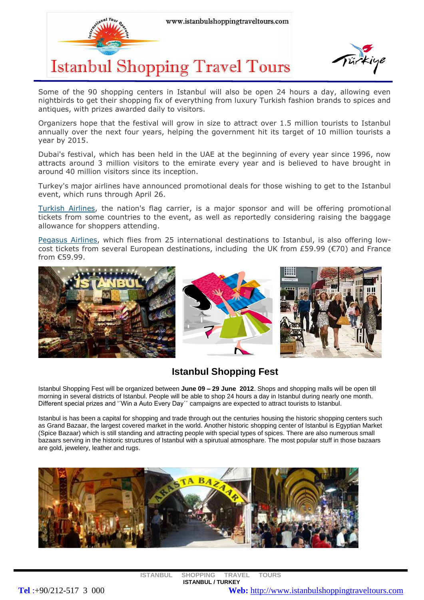



Some of the 90 shopping centers in Istanbul will also be open 24 hours a day, allowing even nightbirds to get their shopping fix of everything from luxury Turkish fashion brands to spices and antiques, with prizes awarded daily to visitors.

Organizers hope that the festival will grow in size to attract over 1.5 million tourists to Istanbul annually over the next four years, helping the government hit its target of 10 million tourists a year by 2015.

Dubai's festival, which has been held in the UAE at the beginning of every year since 1996, now attracts around 3 million visitors to the emirate every year and is believed to have brought in around 40 million visitors since its inception.

Turkey's major airlines have announced promotional deals for those wishing to get to the Istanbul event, which runs through April 26.

[Turkish Airlines,](http://www.turkishairlines.com/) the nation's flag carrier, is a major sponsor and will be offering promotional tickets from some countries to the event, as well as reportedly considering raising the baggage allowance for shoppers attending.

[Pegasus Airlines,](http://www.flypgs.com/) which flies from 25 international destinations to Istanbul, is also offering lowcost tickets from several European destinations, including the UK from £59.99 ( $\epsilon$ 70) and France from €59.99.







## **Istanbul Shopping Fest**

Istanbul Shopping Fest will be organized between **June 09 – 29 June 2012**. Shops and shopping malls will be open till morning in several districts of Istanbul. People will be able to shop 24 hours a day in Istanbul during nearly one month. Different special prizes and '´Win a Auto Every Day´´ campaigns are expected to attract tourists to Istanbul.

Istanbul is has been a capital for shopping and trade through out the centuries housing the historic shopping centers such as Grand Bazaar, the largest covered market in the world. Another historic shopping center of Istanbul is Egyptian Market (Spice Bazaar) which is still standing and attracting people with special types of spices. There are also numerous small bazaars serving in the historic structures of Istanbul with a spirutual atmosphare. The most popular stuff in those bazaars are gold, jewelery, leather and rugs.

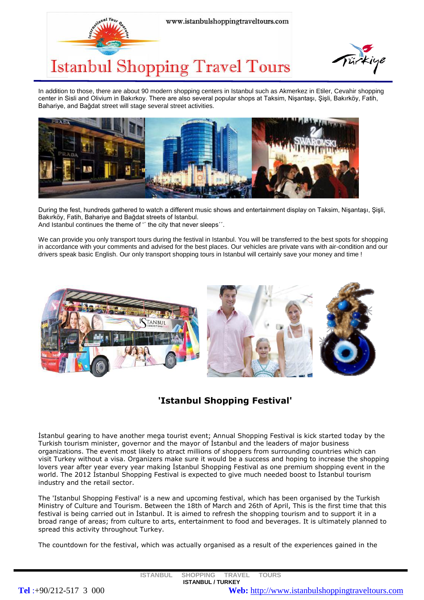



In addition to those, there are about 90 modern shopping centers in Istanbul such as Akmerkez in Etiler, Cevahir shopping center in Sisli and Olivium in Bakırkoy. There are also several popular shops at Taksim, Nişantaşı, Şişli, Bakırköy, Fatih, Bahariye, and Bağdat street will stage several street activities.



During the fest, hundreds gathered to watch a different music shows and entertainment display on Taksim, Nişantaşı, Şişli, Bakırköy, Fatih, Bahariye and Bağdat streets of Istanbul.

And Istanbul continues the theme of " the city that never sleeps".

We can provide you only transport tours during the festival in Istanbul. You will be transferred to the best spots for shopping in accordance with your comments and advised for the best places. Our vehicles are private vans with air-condition and our drivers speak basic English. Our only transport shopping tours in Istanbul will certainly save your money and time !



## **'Istanbul Shopping Festival'**

İstanbul gearing to have another mega tourist event; Annual Shopping Festival is kick started today by the Turkish tourism minister, governor and the mayor of İstanbul and the leaders of major business organizations. The event most likely to atract millions of shoppers from surrounding countries which can visit Turkey without a visa. Organizers make sure it would be a success and hoping to increase the shopping lovers year after year every year making İstanbul Shopping Festival as one premium shopping event in the world. The 2012 İstanbul Shopping Festival is expected to give much needed boost to İstanbul tourism industry and the retail sector.

The 'Istanbul Shopping Festival' is a new and upcoming festival, which has been organised by the Turkish Ministry of Culture and Tourism. Between the 18th of March and 26th of April, This is the first time that this festival is being carried out in İstanbul. It is aimed to refresh the shopping tourism and to support it in a broad range of areas; from culture to arts, entertainment to food and beverages. It is ultimately planned to spread this activity throughout Turkey.

The countdown for the festival, which was actually organised as a result of the experiences gained in the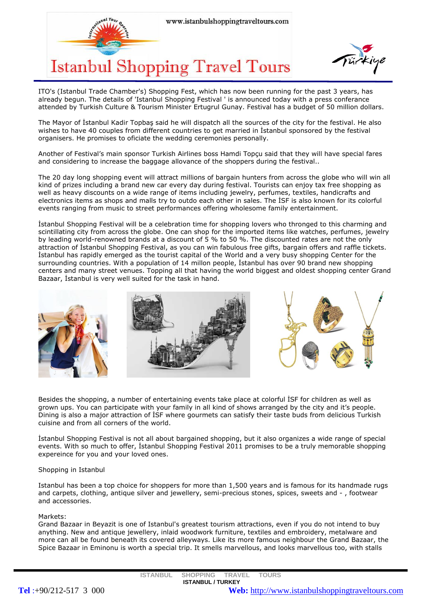



ITO's (Istanbul Trade Chamber's) Shopping Fest, which has now been running for the past 3 years, has already begun. The details of 'Istanbul Shopping Festival ' is announced today with a press conferance attended by Turkish Culture & Tourism Minister Ertugrul Gunay. Festival has a budget of 50 million dollars.

The Mayor of İstanbul Kadir Topbaş said he will dispatch all the sources of the city for the festival. He also wishes to have 40 couples from different countries to get married in İstanbul sponsored by the festival organisers. He promises to oficiate the wedding ceremonies personally.

Another of Festival's main sponsor Turkish Airlines boss Hamdi Topçu said that they will have special fares and considering to increase the baggage allovance of the shoppers during the festival..

The 20 day long shopping event will attract millions of bargain hunters from across the globe who will win all kind of prizes including a brand new car every day during festival. Tourists can enjoy tax free shopping as well as heavy discounts on a wide range of items including jewelry, perfumes, textiles, handicrafts and electronics items as shops and malls try to outdo each other in sales. The İSF is also known for its colorful events ranging from music to street performances offering wholesome family entertainment.

İstanbul Shopping Festival will be a celebration time for shopping lovers who thronged to this charming and scintillating city from across the globe. One can shop for the imported items like watches, perfumes, jewelry by leading world-renowned brands at a discount of 5 % to 50 %. The discounted rates are not the only attraction of İstanbul Shopping Festival, as you can win fabulous free gifts, bargain offers and raffle tickets. İstanbul has rapidly emerged as the tourist capital of the World and a very busy shopping Center for the surrounding countries. With a population of 14 millon people, İstanbul has over 90 brand new shopping centers and many street venues. Topping all that having the world biggest and oldest shopping center Grand Bazaar, İstanbul is very well suited for the task in hand.



Besides the shopping, a number of entertaining events take place at colorful İSF for children as well as grown ups. You can participate with your family in all kind of shows arranged by the city and it's people. Dining is also a major attraction of İSF where gourmets can satisfy their taste buds from delicious Turkish cuisine and from all corners of the world.

İstanbul Shopping Festival is not all about bargained shopping, but it also organizes a wide range of special events. With so much to offer, İstanbul Shopping Festival 2011 promises to be a truly memorable shopping expereince for you and your loved ones.

### Shopping in Istanbul

Istanbul has been a top choice for shoppers for more than 1,500 years and is famous for its handmade rugs and carpets, clothing, antique silver and jewellery, semi-precious stones, spices, sweets and - , footwear and accessories.

### Markets:

Grand Bazaar in Beyazit is one of Istanbul's greatest tourism attractions, even if you do not intend to buy anything. New and antique jewellery, inlaid woodwork furniture, textiles and embroidery, metalware and more can all be found beneath its covered alleyways. Like its more famous neighbour the Grand Bazaar, the Spice Bazaar in Eminonu is worth a special trip. It smells marvellous, and looks marvellous too, with stalls